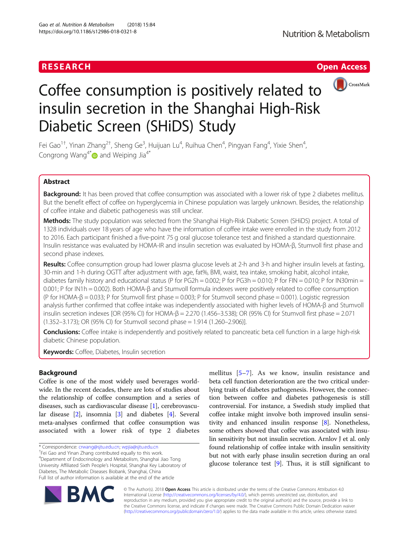# **RESEARCH CHE Open Access**



# Coffee consumption is positively related to insulin secretion in the Shanghai High-Risk Diabetic Screen (SHiDS) Study

Fei Gao $^{\rm 1+}$ , Yinan Zhang $^{\rm 2+}$ , Sheng Ge $^{\rm 3}$ , Huijuan Lu $^{\rm 4}$ , Ruihua Chen $^{\rm 4}$ , Pingyan Fang $^{\rm 4}$ , Yixie Shen $^{\rm 4}$ , Congrong Wang<sup>4[\\*](http://orcid.org/0000-0002-0722-2349)</sup> and Weiping Jia<sup>4\*</sup>

# Abstract

Background: It has been proved that coffee consumption was associated with a lower risk of type 2 diabetes mellitus. But the benefit effect of coffee on hyperglycemia in Chinese population was largely unknown. Besides, the relationship of coffee intake and diabetic pathogenesis was still unclear.

Methods: The study population was selected from the Shanghai High-Risk Diabetic Screen (SHiDS) project. A total of 1328 individuals over 18 years of age who have the information of coffee intake were enrolled in the study from 2012 to 2016. Each participant finished a five-point 75 g oral glucose tolerance test and finished a standard questionnaire. Insulin resistance was evaluated by HOMA-IR and insulin secretion was evaluated by HOMA-β, Stumvoll first phase and second phase indexes.

Results: Coffee consumption group had lower plasma glucose levels at 2-h and 3-h and higher insulin levels at fasting, 30-min and 1-h during OGTT after adjustment with age, fat%, BMI, waist, tea intake, smoking habit, alcohol intake, diabetes family history and educational status (P for PG2h = 0.002; P for PG3h = 0.010; P for FIN = 0.010; P for IN30min = 0.001; P for IN1h = 0.002). Both HOMA-β and Stumvoll formula indexes were positively related to coffee consumption (P for HOMA- $\beta$  = 0.033; P for Stumvoll first phase = 0.003; P for Stumvoll second phase = 0.001). Logistic regression analysis further confirmed that coffee intake was independently associated with higher levels of HOMA-β and Stumvoll insulin secretion indexes [OR (95% CI) for HOMA- $\beta$  = 2.270 (1.456–3.538); OR (95% CI) for Stumvoll first phase = 2.071 (1.352–3.173); OR (95% CI) for Stumvoll second phase = 1.914 (1.260–2.906)].

Conclusions: Coffee intake is independently and positively related to pancreatic beta cell function in a large high-risk diabetic Chinese population.

Keywords: Coffee, Diabetes, Insulin secretion

# Background

Coffee is one of the most widely used beverages worldwide. In the recent decades, there are lots of studies about the relationship of coffee consumption and a series of diseases, such as cardiovascular disease [[1](#page-6-0)], cerebrovascular disease [[2\]](#page-6-0), insomnia [\[3\]](#page-6-0) and diabetes [\[4](#page-6-0)]. Several meta-analyses confirmed that coffee consumption was associated with a lower risk of type 2 diabetes

<sup>†</sup>Fei Gao and Yinan Zhang contributed equally to this work.

4 Department of Endocrinology and Metabolism, Shanghai Jiao Tong University Affiliated Sixth People's Hospital, Shanghai Key Laboratory of Diabetes, The Metabolic Diseases Biobank, Shanghai, China Full list of author information is available at the end of the article

mellitus [[5](#page-6-0)–[7\]](#page-6-0). As we know, insulin resistance and beta cell function deterioration are the two critical underlying traits of diabetes pathogenesis. However, the connection between coffee and diabetes pathogenesis is still controversial. For instance, a Swedish study implied that coffee intake might involve both improved insulin sensitivity and enhanced insulin response [[8](#page-6-0)]. Nonetheless, some others showed that coffee was associated with insulin sensitivity but not insulin secretion. Arnlov J et al. only found relationship of coffee intake with insulin sensitivity but not with early phase insulin secretion during an oral glucose tolerance test [[9](#page-6-0)]. Thus, it is still significant to



© The Author(s). 2018 Open Access This article is distributed under the terms of the Creative Commons Attribution 4.0 International License [\(http://creativecommons.org/licenses/by/4.0/](http://creativecommons.org/licenses/by/4.0/)), which permits unrestricted use, distribution, and reproduction in any medium, provided you give appropriate credit to the original author(s) and the source, provide a link to the Creative Commons license, and indicate if changes were made. The Creative Commons Public Domain Dedication waiver [\(http://creativecommons.org/publicdomain/zero/1.0/](http://creativecommons.org/publicdomain/zero/1.0/)) applies to the data made available in this article, unless otherwise stated.

<sup>\*</sup> Correspondence: [crwang@sjtu.edu.cn;](mailto:crwang@sjtu.edu.cn) [wpjia@sjtu.edu.cn](mailto:wpjia@sjtu.edu.cn) †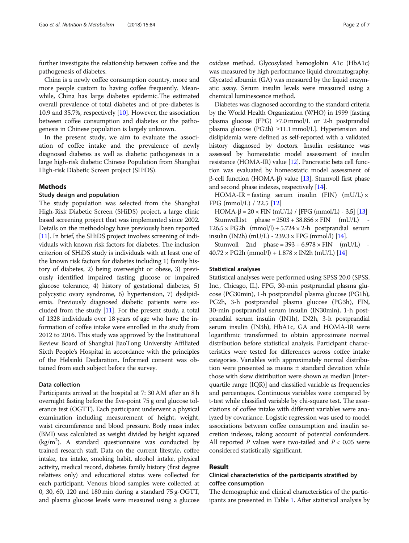further investigate the relationship between coffee and the pathogenesis of diabetes.

China is a newly coffee consumption country, more and more people custom to having coffee frequently. Meanwhile, China has large diabetes epidemic.The estimated overall prevalence of total diabetes and of pre-diabetes is 10.9 and 35.7%, respectively [[10](#page-6-0)]. However, the association between coffee consumption and diabetes or the pathogenesis in Chinese population is largely unknown.

In the present study, we aim to evaluate the association of coffee intake and the prevalence of newly diagnosed diabetes as well as diabetic pathogenesis in a large high-risk diabetic Chinese Population from Shanghai High-risk Diabetic Screen project (SHiDS).

# Methods

## Study design and population

The study population was selected from the Shanghai High-Risk Diabetic Screen (SHiDS) project, a large clinic based screening project that was implemented since 2002. Details on the methodology have previously been reported [[11](#page-6-0)]. In brief, the SHiDS project involves screening of individuals with known risk factors for diabetes. The inclusion criterion of SHiDS study is individuals with at least one of the known risk factors for diabetes including 1) family history of diabetes, 2) being overweight or obese, 3) previously identified impaired fasting glucose or impaired glucose tolerance, 4) history of gestational diabetes, 5) polycystic ovary syndrome, 6) hypertension, 7) dyslipidemia. Previously diagnosed diabetic patients were excluded from the study [[11](#page-6-0)]. For the present study, a total of 1328 individuals over 18 years of age who have the information of coffee intake were enrolled in the study from 2012 to 2016. This study was approved by the Institutional Review Board of Shanghai JiaoTong University Affiliated Sixth People's Hospital in accordance with the principles of the Helsinki Declaration. Informed consent was obtained from each subject before the survey.

# Data collection

Participants arrived at the hospital at 7: 30 AM after an 8 h overnight fasting before the five-point 75 g oral glucose tolerance test (OGTT). Each participant underwent a physical examination including measurement of height, weight, waist circumference and blood pressure. Body mass index (BMI) was calculated as weight divided by height squared  $(kg/m<sup>2</sup>)$ . A standard questionnaire was conducted by trained research staff. Data on the current lifestyle, coffee intake, tea intake, smoking habit, alcohol intake, physical activity, medical record, diabetes family history (first degree relatives only) and educational status were collected for each participant. Venous blood samples were collected at 0, 30, 60, 120 and 180 min during a standard 75 g-OGTT, and plasma glucose levels were measured using a glucose oxidase method. Glycosylated hemoglobin A1c (HbA1c) was measured by high performance liquid chromatography. Glycated albumin (GA) was measured by the liquid enzymatic assay. Serum insulin levels were measured using a chemical luminescence method.

Diabetes was diagnosed according to the standard criteria by the World Health Organization (WHO) in 1999 [fasting plasma glucose (FPG)  $\geq$ 7.0 mmol/L or 2-h postprandial plasma glucose (PG2h) ≥11.1 mmol/L]. Hypertension and dislipidemia were defined as self-reported with a validated history diagnosed by doctors. Insulin resistance was assessed by homeostatic model assessment of insulin resistance (HOMA-IR) value [\[12](#page-6-0)]. Pancreatic beta cell function was evaluated by homeostatic model assessment of β-cell function (HOMA-β) value [\[13\]](#page-6-0), Stumvoll first phase and second phase indexes, respectively [[14](#page-6-0)].

HOMA-IR = fasting serum insulin (FIN) (mU/L)  $\times$ FPG (mmol/L) / 22.5 [\[12](#page-6-0)]

HOMA-β =  $20 \times$  FIN (mU/L) / [FPG (mmol/L) - 3.5] [\[13](#page-6-0)]

Stumvoll1st phase =  $2503 + 38.856 \times FIN$  (mU/L)  $126.5 \times PG2h$  (mmol/l) + 5.724  $\times$  2-h postprandial serum insulin (IN2h)  $(mU/L) - 239.3 \times FPG$  (mmol/l) [[14](#page-6-0)].

Stumvoll 2nd phase =  $393 + 6.978 \times FIN$  (mU/L) - $40.72 \times$  PG2h (mmol/l) + 1.878  $\times$  IN2h (mU/L) [\[14\]](#page-6-0)

## Statistical analyses

Statistical analyses were performed using SPSS 20.0 (SPSS, Inc., Chicago, IL). FPG, 30-min postprandial plasma glucose (PG30min), 1-h postprandial plasma glucose (PG1h), PG2h, 3-h postprandial plasma glucose (PG3h), FIN, 30-min postprandial serum insulin (IN30min), 1-h postprandial serum insulin (IN1h), IN2h, 3-h postprandial serum insulin (IN3h), HbA1c, GA and HOMA-IR were logarithmic transformed to obtain approximate normal distribution before statistical analysis. Participant characteristics were tested for differences across coffee intake categories. Variables with approximately normal distribution were presented as means ± standard deviation while those with skew distribution were shown as median [interquartile range (IQR)] and classified variable as frequencies and percentages. Continuous variables were compared by t-test while classified variable by chi-square test. The associations of coffee intake with different variables were analyzed by covariance. Logistic regression was used to model associations between coffee consumption and insulin secretion indexes, taking account of potential confounders. All reported P values were two-tailed and  $P < 0.05$  were considered statistically significant.

# Result

# Clinical characteristics of the participants stratified by coffee consumption

The demographic and clinical characteristics of the participants are presented in Table [1.](#page-2-0) After statistical analysis by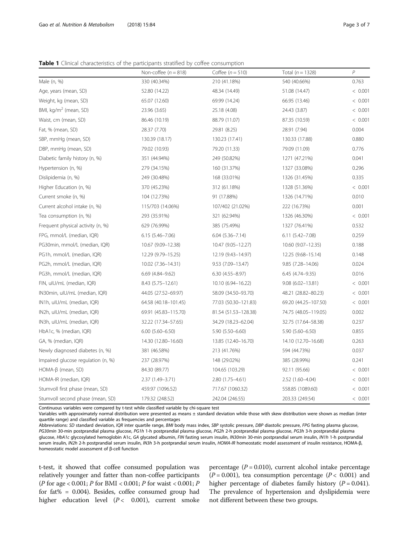<span id="page-2-0"></span>Table 1 Clinical characteristics of the participants stratified by coffee consumption

|                                    | Non-coffee ( $n = 818$ ) | Coffee $(n = 510)$   | Total $(n = 1328)$   | $\overline{P}$ |
|------------------------------------|--------------------------|----------------------|----------------------|----------------|
| Male (n, %)                        | 330 (40.34%)             | 210 (41.18%)         | 540 (40.66%)         | 0.763          |
| Age, years (mean, SD)              | 52.80 (14.22)            | 48.34 (14.49)        | 51.08 (14.47)        | < 0.001        |
| Weight, kg (mean, SD)              | 65.07 (12.60)            | 69.99 (14.24)        | 66.95 (13.46)        | < 0.001        |
| BMI, kg/m <sup>2</sup> (mean, SD)  | 23.96 (3.65)             | 25.18 (4.08)         | 24.43 (3.87)         | < 0.001        |
| Waist, cm (mean, SD)               | 86.46 (10.19)            | 88.79 (11.07)        | 87.35 (10.59)        | < 0.001        |
| Fat, % (mean, SD)                  | 28.37 (7.70)             | 29.81 (8.25)         | 28.91 (7.94)         | 0.004          |
| SBP, mmHg (mean, SD)               | 130.39 (18.17)           | 130.23 (17.41)       | 130.33 (17.88)       | 0.880          |
| DBP, mmHg (mean, SD)               | 79.02 (10.93)            | 79.20 (11.33)        | 79.09 (11.09)        | 0.776          |
| Diabetic family history (n, %)     | 351 (44.94%)             | 249 (50.82%)         | 1271 (47.21%)        | 0.041          |
| Hypertension (n, %)                | 279 (34.15%)             | 160 (31.37%)         | 1327 (33.08%)        | 0.296          |
| Dislipidemia (n, %)                | 249 (30.48%)             | 168 (33.01%)         | 1326 (31.45%)        | 0.335          |
| Higher Education (n, %)            | 370 (45.23%)             | 312 (61.18%)         | 1328 (51.36%)        | < 0.001        |
| Current smoke (n, %)               | 104 (12.73%)             | 91 (17.88%)          | 1326 (14.71%)        | 0.010          |
| Current alcohol intake (n, %)      | 115/703 (14.06%)         | 107/402 (21.02%)     | 222 (16.73%)         | 0.001          |
| Tea consumption (n, %)             | 293 (35.91%)             | 321 (62.94%)         | 1326 (46.30%)        | < 0.001        |
| Frequent physical activity (n, %)  | 629 (76.99%)             | 385 (75.49%)         | 1327 (76.41%)        | 0.532          |
| FPG, mmol/L (median, IQR)          | $6.15(5.46 - 7.06)$      | $6.04(5.36 - 7.14)$  | $6.11(5.42 - 7.08)$  | 0.259          |
| PG30min, mmol/L (median, IQR)      | 10.67 (9.09-12.38)       | 10.47 (9.05-12.27)   | 10.60 (9.07-12.35)   | 0.188          |
| PG1h, mmol/L (median, IQR)         | 12.29 (9.79-15.25)       | 12.19 (9.43-14.97)   | 12.25 (9.68-15.14)   | 0.148          |
| PG2h, mmol/L (median, IQR)         | 10.02 (7.36-14.31)       | 9.53 (7.09-13.47)    | $9.85(7.28 - 14.06)$ | 0.024          |
| PG3h, mmol/L (median, IQR)         | $6.69$ $(4.84 - 9.62)$   | $6.30(4.55 - 8.97)$  | $6.45(4.74 - 9.35)$  | 0.016          |
| FIN, uIU/mL (median, IQR)          | $8.43(5.75 - 12.61)$     | 10.10 (6.94-16.22)   | $9.08(6.02 - 13.81)$ | < 0.001        |
| IN30min, uIU/mL (median, IQR)      | 44.05 (27.52-69.97)      | 58.09 (34.50-93.70)  | 48.21 (28.82-80.23)  | < 0.001        |
| IN1h, uIU/mL (median, IQR)         | 64.58 (40.18-101.45)     | 77.03 (50.30-121.83) | 69.20 (44.25-107.50) | < 0.001        |
| IN2h, uIU/mL (median, IQR)         | 69.91 (45.83-115.70)     | 81.54 (51.53-128.38) | 74.75 (48.05-119.05) | 0.002          |
| IN3h, uIU/mL (median, IQR)         | 32.22 (17.34-57.65)      | 34.29 (18.23-62.04)  | 32.75 (17.64-58.38)  | 0.237          |
| HbA1c, % (median, IQR)             | $6.00$ $(5.60 - 6.50)$   | 5.90 (5.50-6.60)     | $5.90(5.60 - 6.50)$  | 0.855          |
| GA, % (median, IQR)                | 14.30 (12.80-16.60)      | 13.85 (12.40-16.70)  | 14.10 (12.70-16.68)  | 0.263          |
| Newly diagnosed diabetes (n, %)    | 381 (46.58%)             | 213 (41.76%)         | 594 (44.73%)         | 0.037          |
| Impaired glucose regulation (n, %) | 237 (28.97%)             | 148 (29.02%)         | 385 (28.99%)         | 0.241          |
| HOMA-ß (mean, SD)                  | 84.30 (89.77)            | 104.65 (103.29)      | 92.11 (95.66)        | < 0.001        |
| HOMA-IR (median, IQR)              | 2.37 (1.49-3.71)         | 2.80 (1.75-4.61)     | 2.52 (1.60-4.04)     | < 0.001        |
| Stumvoll first phase (mean, SD)    | 459.97 (1096.52)         | 717.67 (1060.32)     | 558.85 (1089.60)     | < 0.001        |
| Stumvoll second phase (mean, SD)   | 179.32 (248.52)          | 242.04 (246.55)      | 203.33 (249.54)      | < 0.001        |

Continuous variables were compared by t-test while classified variable by chi-square test

Variables with approximately normal distribution were presented as means ± standard deviation while those with skew distribution were shown as median (inter quartile range) and classified variable as frequencies and percentages

Abbreviations: SD standard deviation, IQR inter quartile range, BMI body mass index, SBP systolic pressure, DBP diastolic pressure, FPG fasting plasma glucose, PG30min 30-min postprandial plasma glucose, PG1h 1-h postprandial plasma glucose, PG2h 2-h postprandial plasma glucose, PG3h 3-h postprandial plasma glucose, HbA1c glycosylated hemoglobin A1c, GA glycated albumin, FIN fasting serum insulin, IN30min 30-min postprandial serum insulin, IN1h 1-h postprandial serum insulin, IN2h 2-h postprandial serum insulin, IN3h 3-h postprandial serum insulin, HOMA-IR homeostatic model assessment of insulin resistance, HOMA-β, homeostatic model assessment of β-cell function

t-test, it showed that coffee consumed population was relatively younger and fatter than non-coffee participants (P for age < 0.001; P for BMI < 0.001; P for waist < 0.001; P for fat% =  $0.004$ ). Besides, coffee consumed group had higher education level  $(P < 0.001)$ , current smoke

percentage ( $P = 0.010$ ), current alcohol intake percentage  $(P = 0.001)$ , tea consumption percentage  $(P < 0.001)$  and higher percentage of diabetes family history  $(P = 0.041)$ . The prevalence of hypertension and dyslipidemia were not different between these two groups.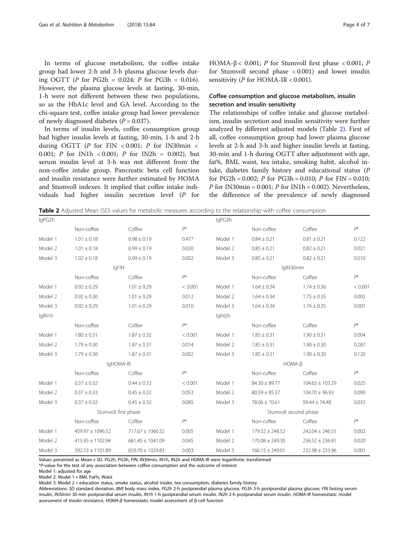In terms of glucose metabolism, the coffee intake group had lower 2-h and 3-h plasma glucose levels during OGTT (P for PG2h = 0.024; P for PG3h = 0.016). However, the plasma glucose levels at fasting, 30-min, 1-h were not different between these two populations, so as the HbA1c level and GA level. According to the chi-square test, coffee intake group had lower prevalence of newly diagnosed diabetes  $(P = 0.037)$ .

In terms of insulin levels, coffee consumption group had higher insulin levels at fasting, 30-min, 1-h and 2-h during OGTT ( $P$  for FIN < 0.001;  $P$  for IN30min < 0.001; P for IN1h < 0.001; P for IN2h = 0.002), but serum insulin level at 3-h was not different from the non-coffee intake group. Pancreatic beta cell function and insulin resistance were further estimated by HOMA and Stumvoll indexes. It implied that coffee intake individuals had higher insulin secretion level (P for HOMA-β < 0.001; P for Stumvoll first phase < 0.001; P for Stumvoll second phase < 0.001) and lower insulin sensitivity ( $P$  for HOMA-IR < 0.001).

# Coffee consumption and glucose metabolism, insulin secretion and insulin sensitivity

The relationships of coffee intake and glucose metabolism, insulin secretion and insulin sensitivity were further analyzed by different adjusted models (Table 2). First of all, coffee consumption group had lower plasma glucose levels at 2-h and 3-h and higher insulin levels at fasting, 30-min and 1-h during OGTT after adjustment with age, fat%, BMI, waist, tea intake, smoking habit, alcohol intake, diabetes family history and educational status (P for PG2h =  $0.002$ ; *P* for PG3h =  $0.010$ ; *P* for FIN =  $0.010$ ; *P* for IN30min = 0.001; *P* for IN1h = 0.002). Nevertheless, the difference of the prevalence of newly diagnosed

Table 2 Adjusted Mean (SD) values for metabolic measures according to the relationship with coffee consumption

| lgPG2h  |                      |                      |                       | lgPG3h  |                     |                     |         |
|---------|----------------------|----------------------|-----------------------|---------|---------------------|---------------------|---------|
|         | Non-coffee           | Coffee               | $P^*$                 |         | Non-coffee          | Coffee              | $P^*$   |
| Model 1 | $1.01 \pm 0.18$      | $0.98 \pm 0.19$      | 0.477                 | Model 1 | $0.84 \pm 0.21$     | $0.81 \pm 0.21$     | 0.122   |
| Model 2 | $1.01 \pm 0.18$      | $0.99 \pm 0.19$      | 0.020                 | Model 2 | $0.85 \pm 0.21$     | $0.82 \pm 0.21$     | 0.021   |
| Model 3 | $1.02 \pm 0.18$      | $0.99 \pm 0.19$      | 0.002                 | Model 3 | $0.85 \pm 0.21$     | $0.82 \pm 0.21$     | 0.010   |
|         | lgFIN                |                      |                       |         | lglN30min           |                     |         |
|         | Non-coffee           | Coffee               | $P^*$                 |         | Non-coffee          | Coffee              | $P^*$   |
| Model 1 | $0.92 \pm 0.29$      | $1.01 \pm 0.29$      | < 0.001               | Model 1 | $1.64 \pm 0.34$     | $1.74 \pm 0.36$     | < 0.001 |
| Model 2 | $0.92 \pm 0.30$      | $1.01 \pm 0.29$      | 0.012                 | Model 2 | $1.64 \pm 0.34$     | $1.75 \pm 0.35$     | 0.002   |
| Model 3 | $0.92 \pm 0.29$      | $1.01 \pm 0.29$      | 0.010                 | Model 3 | $1.64 \pm 0.34$     | $1.74 \pm 0.35$     | 0.001   |
| lgIN1h  |                      |                      |                       | lgIN2h  |                     |                     |         |
|         | Non-coffee           | Coffee               | $P^*$                 |         | Non-coffee          | Coffee              | $P^*$   |
| Model 1 | $1.80 \pm 0.31$      | $1.87 \pm 0.32$      | < 0.001               | Model 1 | $1.85 \pm 0.31$     | $1.90 \pm 0.31$     | 0.004   |
| Model 2 | $1.79 \pm 0.30$      | $1.87 \pm 0.31$      | 0.014                 | Model 2 | $1.85 \pm 0.31$     | $1.90 \pm 0.30$     | 0.287   |
| Model 3 | $1.79 \pm 0.30$      | $1.87 \pm 0.31$      | 0.002                 | Model 3 | $1.85 \pm 0.31$     | $1.90 \pm 0.30$     | 0.120   |
|         |                      | IgHOMA-IR            |                       |         | $HOMA-B$            |                     |         |
|         | Non-coffee           | Coffee               | $P^*$                 |         | Non-coffee          | Coffee              | $P^*$   |
| Model 1 | $0.37 \pm 0.32$      | $0.44 \pm 0.33$      | < 0.001               | Model 1 | $84.30 \pm 89.77$   | $104.65 \pm 103.29$ | 0.025   |
| Model 2 | $0.37 \pm 0.33$      | $0.45 \pm 0.32$      | 0.053                 | Model 2 | $80.59 \pm 85.37$   | $104.70 \pm 96.93$  | 0.090   |
| Model 3 | $0.37 \pm 0.32$      | $0.45 \pm 0.32$      | 0.085                 | Model 3 | $78.06 \pm 70.61$   | $99.44 \pm 74.48$   | 0.033   |
|         | Stumvoll first phase |                      | Stumvoll second phase |         |                     |                     |         |
|         | Non-coffee           | Coffee               | $P^*$                 |         | Non-coffee          | Coffee              | $P^*$   |
| Model 1 | 459.97 ± 1096.52     | $717.67 \pm 1060.32$ | 0.005                 | Model 1 | $179.32 \pm 248.52$ | $242.04 \pm 246.55$ | 0.002   |
| Model 2 | 415.95 ± 1102.94     | $681.45 \pm 1041.09$ | 0.045                 | Model 2 | $170.08 \pm 249.30$ | $236.52 \pm 236.91$ | 0.020   |
| Model 3 | 392.53 ± 1101.89     | $659.70 \pm 1029.83$ | 0.003                 | Model 3 | $166.15 \pm 249.01$ | $232.98 \pm 233.96$ | 0.001   |

Values presented as Mean ± SD. PG2h, PG3h, FIN, IN30min, IN1h, IN2h and HOMA-IR were logarithmic transformed

\*P-value for the test of any association between coffee consumption and the outcome of interest

Model 1: adjusted for age

Model 2: Model 1 + BMI, Fat%, Waist

Model 3: Model 2 + education status, smoke status, alcohol intake, tea consumption, diabetes family history

Abbreviations: SD standard deviation, BMI body mass index, PG2h 2-h postprandial plasma glucose, PG3h 3-h postprandial plasma glucose, FIN fasting serum insulin, IN30min 30-min postprandial serum insulin, IN1h 1-h postprandial serum insulin, IN2h 2-h postprandial serum insulin, HOMA-IR homeostatic model assessment of insulin resistance, HOMA-β homeostatic model assessment of β-cell function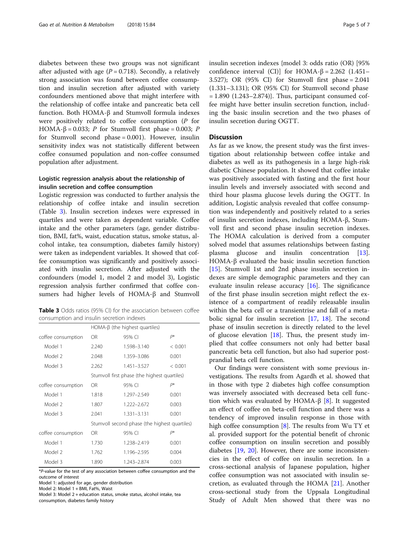diabetes between these two groups was not significant after adjusted with age  $(P = 0.718)$ . Secondly, a relatively strong association was found between coffee consumption and insulin secretion after adjusted with variety confounders mentioned above that might interfere with the relationship of coffee intake and pancreatic beta cell function. Both HOMA-β and Stumvoll formula indexes were positively related to coffee consumption (P for HOMA-β = 0.033; P for Stumvoll first phase = 0.003; P for Stumvoll second phase = 0.001). However, insulin sensitivity index was not statistically different between coffee consumed population and non-coffee consumed population after adjustment.

# Logistic regression analysis about the relationship of insulin secretion and coffee consumption

Logistic regression was conducted to further analysis the relationship of coffee intake and insulin secretion (Table 3). Insulin secretion indexes were expressed in quartiles and were taken as dependent variable. Coffee intake and the other parameters (age, gender distribution, BMI, fat%, waist, education status, smoke status, alcohol intake, tea consumption, diabetes family history) were taken as independent variables. It showed that coffee consumption was significantly and positively associated with insulin secretion. After adjusted with the confounders (model 1, model 2 and model 3), Logistic regression analysis further confirmed that coffee consumers had higher levels of HOMA-β and Stumvoll

Table 3 Odds ratios (95% CI) for the association between coffee consumption and insulin secretion indexes

|                    | $HOMA-\beta$ (the highest quartiles)          |               |         |  |  |
|--------------------|-----------------------------------------------|---------------|---------|--|--|
| coffee consumption | OR.                                           | 95% CI        | $P^*$   |  |  |
| Model 1            | 2.240                                         | 1.598-3.140   | < 0.001 |  |  |
| Model 2            | 2.048                                         | 1.359-3.086   | 0.001   |  |  |
| Model 3            | 2.262                                         | 1.451-3.527   | < 0.001 |  |  |
|                    | Stumvoll first phase (the highest quartiles)  |               |         |  |  |
| coffee consumption | <b>OR</b>                                     | 95% CI        | $P^*$   |  |  |
| Model 1            | 1.818                                         | 1.297-2.549   | 0.001   |  |  |
| Model 2            | 1.807                                         | 1.222-2.672   | 0.003   |  |  |
| Model 3            | 2.041                                         | $1,331-3,131$ | 0.001   |  |  |
|                    | Stumvoll second phase (the highest quartiles) |               |         |  |  |
| coffee consumption | OR.                                           | 95% CI        | P*      |  |  |
| Model 1            | 1.730                                         | 1.238-2.419   | 0.001   |  |  |
| Model 2            | 1.762                                         | 1.196-2.595   | 0.004   |  |  |
| Model 3            | 1.890                                         | 1 243-2874    | 0.003   |  |  |

\*P-value for the test of any association between coffee consumption and the outcome of interest

Model 1: adjusted for age, gender distribution

Model 2: Model 1 + BMI, Fat%, Waist

Model 3: Model 2 + education status, smoke status, alcohol intake, tea

consumption, diabetes family history

insulin secretion indexes {model 3: odds ratio (OR) [95% confidence interval (CI)] for HOMA-β = 2.262 (1.451– 3.527); OR (95% CI) for Stumvoll first phase = 2.041 (1.331–3.131); OR (95% CI) for Stumvoll second phase  $= 1.890$  (1.243–2.874)}. Thus, participant consumed coffee might have better insulin secretion function, including the basic insulin secretion and the two phases of insulin secretion during OGTT.

# **Discussion**

As far as we know, the present study was the first investigation about relationship between coffee intake and diabetes as well as its pathogenesis in a large high-risk diabetic Chinese population. It showed that coffee intake was positively associated with fasting and the first hour insulin levels and inversely associated with second and third hour plasma glucose levels during the OGTT. In addition, Logistic analysis revealed that coffee consumption was independently and positively related to a series of insulin secretion indexes, including HOMA-β, Stumvoll first and second phase insulin secretion indexes. The HOMA calculation is derived from a computer solved model that assumes relationships between fasting plasma glucose and insulin concentration [\[13](#page-6-0)]. HOMA-β evaluated the basic insulin secretion function [[15\]](#page-6-0). Stumvoll 1st and 2nd phase insulin secretion indexes are simple demographic parameters and they can evaluate insulin release accuracy  $[16]$  $[16]$ . The significance of the first phase insulin secretion might reflect the existence of a compartment of readily releasable insulin within the beta cell or a transientrise and fall of a metabolic signal for insulin secretion [\[17,](#page-6-0) [18\]](#page-6-0). The second phase of insulin secretion is directly related to the level of glucose elevation  $[18]$ . Thus, the present study implied that coffee consumers not only had better basal pancreatic beta cell function, but also had superior postprandial beta cell function.

Our findings were consistent with some previous investigations. The results from Agardh et al. showed that in those with type 2 diabetes high coffee consumption was inversely associated with decreased beta cell func-tion which was evaluated by HOMA-β [[8\]](#page-6-0). It suggested an effect of coffee on beta-cell function and there was a tendency of improved insulin response in those with high coffee consumption [\[8](#page-6-0)]. The results from Wu TY et al. provided support for the potential benefit of chronic coffee consumption on insulin secretion and possibly diabetes [[19,](#page-6-0) [20\]](#page-6-0). However, there are some inconsistencies in the effect of coffee on insulin secretion. In a cross-sectional analysis of Japanese population, higher coffee consumption was not associated with insulin secretion, as evaluated through the HOMA [[21](#page-6-0)]. Another cross-sectional study from the Uppsala Longitudinal Study of Adult Men showed that there was no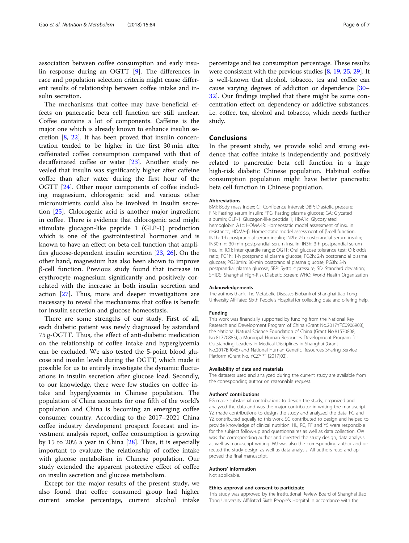association between coffee consumption and early insulin response during an OGTT [[9\]](#page-6-0). The differences in race and population selection criteria might cause different results of relationship between coffee intake and insulin secretion.

The mechanisms that coffee may have beneficial effects on pancreatic beta cell function are still unclear. Coffee contains a lot of components. Caffeine is the major one which is already known to enhance insulin secretion [[8,](#page-6-0) [22](#page-6-0)]. It has been proved that insulin concentration tended to be higher in the first 30 min after caffeinated coffee consumption compared with that of decaffeinated coffee or water [\[23\]](#page-6-0). Another study revealed that insulin was significantly higher after caffeine coffee than after water during the first hour of the OGTT [[24\]](#page-6-0). Other major components of coffee including magnesium, chlorogenic acid and various other micronutrients could also be involved in insulin secretion [\[25](#page-6-0)]. Chlorogenic acid is another major ingredient in coffee. There is evidence that chlorogenic acid might stimulate glucagon-like peptide 1 (GLP-1) production which is one of the gastrointestinal hormones and is known to have an effect on beta cell function that amplifies glucose-dependent insulin secretion [[23,](#page-6-0) [26\]](#page-6-0). On the other hand, magnesium has also been shown to improve β-cell function. Previous study found that increase in erythrocyte magnesium significantly and positively correlated with the increase in both insulin secretion and action [\[27\]](#page-6-0). Thus, more and deeper investigations are necessary to reveal the mechanisms that coffee is benefit for insulin secretion and glucose homeostasis.

There are some strengths of our study. First of all, each diabetic patient was newly diagnosed by astandard 75 g-OGTT. Thus, the effect of anti-diabetic medication on the relationship of coffee intake and hyperglycemia can be excluded. We also tested the 5-point blood glucose and insulin levels during the OGTT, which made it possible for us to entirely investigate the dynamic fluctuations in insulin secretion after glucose load. Secondly, to our knowledge, there were few studies on coffee intake and hyperglycemia in Chinese population. The population of China accounts for one fifth of the world's population and China is becoming an emerging coffee consumer country. According to the 2017–2021 China coffee industry development prospect forecast and investment analysis report, coffee consumption is growing by 15 to 20% a year in China [[28\]](#page-6-0). Thus, it is especially important to evaluate the relationship of coffee intake with glucose metabolism in Chinese population. Our study extended the apparent protective effect of coffee on insulin secretion and glucose metabolism.

Except for the major results of the present study, we also found that coffee consumed group had higher current smoke percentage, current alcohol intake

percentage and tea consumption percentage. These results were consistent with the previous studies [[8,](#page-6-0) [19](#page-6-0), [25,](#page-6-0) [29](#page-6-0)]. It is well-known that alcohol, tobacco, tea and coffee can cause varying degrees of addiction or dependence [\[30](#page-6-0)– [32](#page-6-0)]. Our findings implied that there might be some concentration effect on dependency or addictive substances, i.e. coffee, tea, alcohol and tobacco, which needs further study.

# Conclusions

In the present study, we provide solid and strong evidence that coffee intake is independently and positively related to pancreatic beta cell function in a large high-risk diabetic Chinese population. Habitual coffee consumption population might have better pancreatic beta cell function in Chinese population.

#### Abbreviations

BMI: Body mass index; CI: Confidence interval; DBP: Diastolic pressure; FIN: Fasting serum insulin; FPG: Fasting plasma glucose; GA: Glycated albumin; GLP-1: Glucagon-like peptide 1; HbA1c: Glycosylated hemoglobin A1c; HOMA-IR: Homeostatic model assessment of insulin resistance; HOMA-β: Homeostatic model assessment of β-cell function; IN1h: 1-h postprandial serum insulin; IN2h: 2-h postprandial serum insulin; IN30min: 30-min postprandial serum insulin; IN3h: 3-h postprandial serum insulin; IQR: Inter quartile range; OGTT: Oral glucose tolerance test; OR: odds ratio; PG1h: 1-h postprandial plasma glucose; PG2h: 2-h postprandial plasma glucose; PG30min: 30-min postprandial plasma glucose; PG3h: 3-h postprandial plasma glucose; SBP: Systolic pressure; SD: Standard deviation; SHiDS: Shanghai High-Risk Diabetic Screen; WHO: World Health Organization

#### Acknowledgements

The authors thank The Metabolic Diseases Biobank of Shanghai Jiao Tong University Affiliated Sixth People's Hospital for collecting data and offering help.

#### Funding

This work was financially supported by funding from the National Key Research and Development Program of China (Grant No.2017YFC0906903), the National Natural Science Foundation of China (Grant No.81570808, No.81770883), a Municipal Human Resources Development Program for Outstanding Leaders in Medical Disciplines in Shanghai (Grant No.2017BR045) and National Human Genetic Resources Sharing Service Platform (Grant No. YCZYPT [2017]02).

#### Availability of data and materials

The datasets used and analyzed during the current study are available from the corresponding author on reasonable request.

#### Authors' contributions

FG made substantial contributions to design the study, organized and analyzed the data and was the major contributor in writing the manuscript. YZ made contributions to design the study and analyzed the data. FG and YZ contributed equally to this work. SG contributed to design and helped to provide knowledge of clinical nutrition. HL, RC, PF and YS were responsible for the subject follow-up and questionnaires as well as data collection. CW was the corresponding author and directed the study design, data analysis as well as manuscript writing. WJ was also the corresponding author and directed the study design as well as data analysis. All authors read and approved the final manuscript.

#### Authors' information

Not applicable.

#### Ethics approval and consent to participate

This study was approved by the Institutional Review Board of Shanghai Jiao Tong University Affiliated Sixth People's Hospital in accordance with the